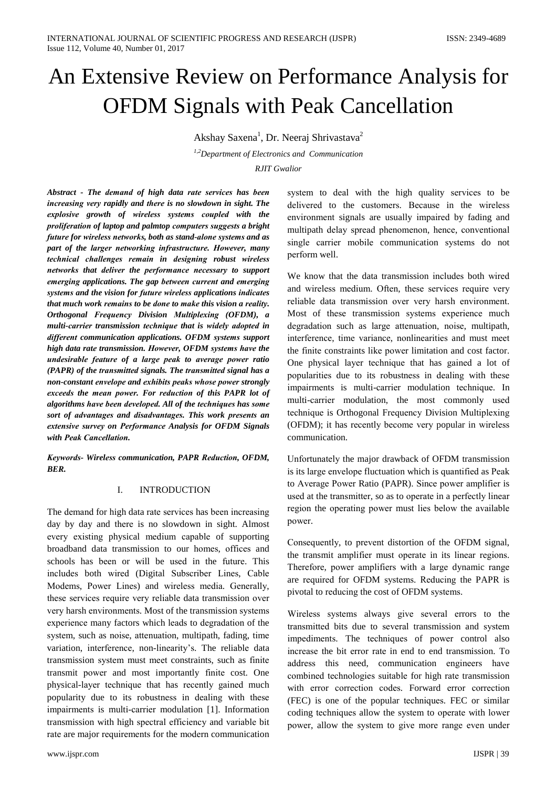# An Extensive Review on Performance Analysis for **OFDM Signals with Peak Cancellation**

Akshay Saxena<sup>1</sup>, Dr. Neeraj Shrivastava<sup>2</sup>

<sup>1,2</sup>Department of Electronics and Communication **RJIT** Gwalior

Abstract - The demand of high data rate services has been increasing very rapidly and there is no slowdown in sight. The explosive growth of wireless systems coupled with the proliferation of laptop and palmtop computers suggests a bright future for wireless networks, both as stand-alone systems and as part of the larger networking infrastructure. However, many technical challenges remain in designing robust wireless networks that deliver the performance necessary to support emerging applications. The gap between current and emerging systems and the vision for future wireless applications indicates that much work remains to be done to make this vision a reality. Orthogonal Frequency Division Multiplexing (OFDM), a multi-carrier transmission technique that is widely adopted in different communication applications. OFDM systems support high data rate transmission. However, OFDM systems have the undesirable feature of a large peak to average power ratio (PAPR) of the transmitted signals. The transmitted signal has a non-constant envelope and exhibits peaks whose power strongly exceeds the mean power. For reduction of this PAPR lot of algorithms have been developed. All of the techniques has some sort of advantages and disadvantages. This work presents an extensive survey on Performance Analysis for OFDM Signals with Peak Cancellation

Keywords- Wireless communication, PAPR Reduction, OFDM, **BER.** 

#### I. **INTRODUCTION**

The demand for high data rate services has been increasing day by day and there is no slowdown in sight. Almost every existing physical medium capable of supporting broadband data transmission to our homes, offices and schools has been or will be used in the future. This includes both wired (Digital Subscriber Lines, Cable Modems, Power Lines) and wireless media. Generally, these services require very reliable data transmission over very harsh environments. Most of the transmission systems experience many factors which leads to degradation of the system, such as noise, attenuation, multipath, fading, time variation, interference, non-linearity's. The reliable data transmission system must meet constraints, such as finite transmit power and most importantly finite cost. One physical-layer technique that has recently gained much popularity due to its robustness in dealing with these impairments is multi-carrier modulation [1]. Information transmission with high spectral efficiency and variable bit rate are major requirements for the modern communication

system to deal with the high quality services to be delivered to the customers. Because in the wireless environment signals are usually impaired by fading and multipath delay spread phenomenon, hence, conventional single carrier mobile communication systems do not perform well.

We know that the data transmission includes both wired and wireless medium. Often, these services require very reliable data transmission over very harsh environment. Most of these transmission systems experience much degradation such as large attenuation, noise, multipath, interference, time variance, nonlinearities and must meet the finite constraints like power limitation and cost factor. One physical layer technique that has gained a lot of popularities due to its robustness in dealing with these impairments is multi-carrier modulation technique. In multi-carrier modulation, the most commonly used technique is Orthogonal Frequency Division Multiplexing (OFDM); it has recently become very popular in wireless communication.

Unfortunately the major drawback of OFDM transmission is its large envelope fluctuation which is quantified as Peak to Average Power Ratio (PAPR). Since power amplifier is used at the transmitter, so as to operate in a perfectly linear region the operating power must lies below the available power.

Consequently, to prevent distortion of the OFDM signal, the transmit amplifier must operate in its linear regions. Therefore, power amplifiers with a large dynamic range are required for OFDM systems. Reducing the PAPR is pivotal to reducing the cost of OFDM systems.

Wireless systems always give several errors to the transmitted bits due to several transmission and system impediments. The techniques of power control also increase the bit error rate in end to end transmission. To address this need, communication engineers have combined technologies suitable for high rate transmission with error correction codes. Forward error correction (FEC) is one of the popular techniques. FEC or similar coding techniques allow the system to operate with lower power, allow the system to give more range even under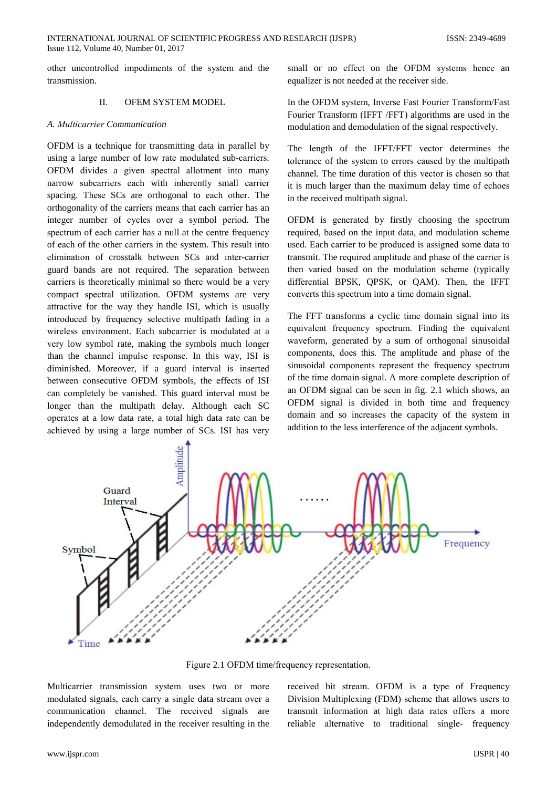other uncontrolled impediments of the system and the transmission.

#### $\Pi$ **OFEM SYSTEM MODEL**

#### A. Multicarrier Communication

OFDM is a technique for transmitting data in parallel by using a large number of low rate modulated sub-carriers. OFDM divides a given spectral allotment into many narrow subcarriers each with inherently small carrier spacing. These SCs are orthogonal to each other. The orthogonality of the carriers means that each carrier has an integer number of cycles over a symbol period. The spectrum of each carrier has a null at the centre frequency of each of the other carriers in the system. This result into elimination of crosstalk between SCs and inter-carrier guard bands are not required. The separation between carriers is theoretically minimal so there would be a very compact spectral utilization. OFDM systems are very attractive for the way they handle ISI, which is usually introduced by frequency selective multipath fading in a wireless environment. Each subcarrier is modulated at a very low symbol rate, making the symbols much longer than the channel impulse response. In this way, ISI is diminished. Moreover, if a guard interval is inserted between consecutive OFDM symbols, the effects of ISI can completely be vanished. This guard interval must be longer than the multipath delay. Although each SC operates at a low data rate, a total high data rate can be achieved by using a large number of SCs. ISI has very

small or no effect on the OFDM systems hence an equalizer is not needed at the receiver side.

In the OFDM system, Inverse Fast Fourier Transform/Fast Fourier Transform (IFFT /FFT) algorithms are used in the modulation and demodulation of the signal respectively.

The length of the IFFT/FFT vector determines the tolerance of the system to errors caused by the multipath channel. The time duration of this vector is chosen so that it is much larger than the maximum delay time of echoes in the received multipath signal.

OFDM is generated by firstly choosing the spectrum required, based on the input data, and modulation scheme used. Each carrier to be produced is assigned some data to transmit. The required amplitude and phase of the carrier is then varied based on the modulation scheme (typically differential BPSK, QPSK, or QAM). Then, the IFFT converts this spectrum into a time domain signal.

The FFT transforms a cyclic time domain signal into its equivalent frequency spectrum. Finding the equivalent waveform, generated by a sum of orthogonal sinusoidal components, does this. The amplitude and phase of the sinusoidal components represent the frequency spectrum of the time domain signal. A more complete description of an OFDM signal can be seen in fig. 2.1 which shows, an OFDM signal is divided in both time and frequency domain and so increases the capacity of the system in addition to the less interference of the adjacent symbols.



Figure 2.1 OFDM time/frequency representation.

Multicarrier transmission system uses two or more modulated signals, each carry a single data stream over a communication channel. The received signals are independently demodulated in the receiver resulting in the

received bit stream. OFDM is a type of Frequency Division Multiplexing (FDM) scheme that allows users to transmit information at high data rates offers a more reliable alternative to traditional single- frequency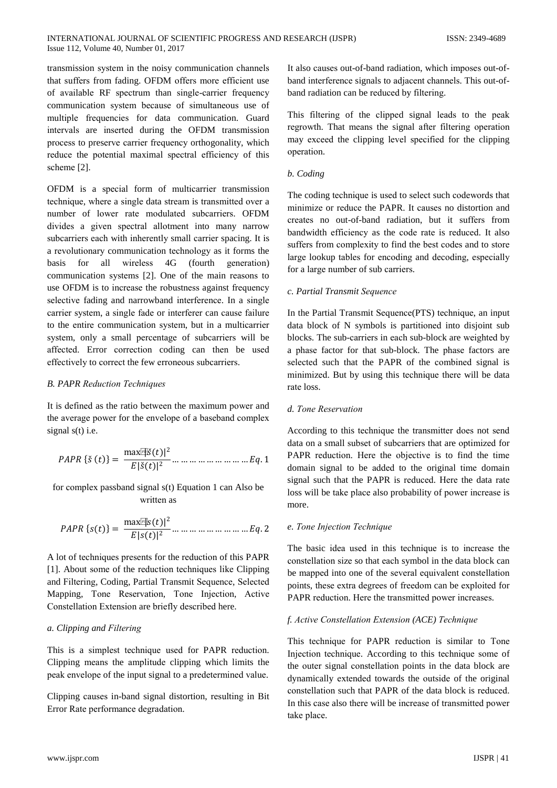#### INTERNATIONAL JOURNAL OF SCIENTIFIC PROGRESS AND RESEARCH (IJSPR) Issue 112, Volume 40, Number 01, 2017

transmission system in the noisy communication channels that suffers from fading. OFDM offers more efficient use of available RF spectrum than single-carrier frequency communication system because of simultaneous use of multiple frequencies for data communication. Guard intervals are inserted during the OFDM transmission process to preserve carrier frequency orthogonality, which reduce the potential maximal spectral efficiency of this scheme [2].

OFDM is a special form of multicarrier transmission technique, where a single data stream is transmitted over a number of lower rate modulated subcarriers. OFDM divides a given spectral allotment into many narrow subcarriers each with inherently small carrier spacing. It is a revolutionary communication technology as it forms the **hasis**  $for$ all wireless 4G (fourth generation) communication systems [2]. One of the main reasons to use OFDM is to increase the robustness against frequency selective fading and narrowband interference. In a single carrier system, a single fade or interferer can cause failure to the entire communication system, but in a multicarrier system, only a small percentage of subcarriers will be affected. Error correction coding can then be used effectively to correct the few erroneous subcarriers.

# **B. PAPR Reduction Techniques**

It is defined as the ratio between the maximum power and the average power for the envelope of a baseband complex signal  $s(t)$  i.e.

$$
PAPR \{\xi(t)\} = \frac{\max_{i} [|\xi(t)|^2}{E|\xi(t)|^2} \dots \dots \dots \dots \dots \dots \dots \dots \dots Eq.1
$$

for complex passband signal s(t) Equation 1 can Also be written as

$$
PAPR\{s(t)\} = \frac{\max_{i=1}^{m} |s(t)|^2}{E|s(t)|^2} \dots \dots \dots \dots \dots \dots \dots \dots \dots Eq.2
$$

A lot of techniques presents for the reduction of this PAPR [1]. About some of the reduction techniques like Clipping and Filtering, Coding, Partial Transmit Sequence, Selected Mapping, Tone Reservation, Tone Injection, Active Constellation Extension are briefly described here.

# a. Clipping and Filtering

This is a simplest technique used for PAPR reduction. Clipping means the amplitude clipping which limits the peak envelope of the input signal to a predetermined value.

Clipping causes in-band signal distortion, resulting in Bit Error Rate performance degradation.

It also causes out-of-band radiation, which imposes out-ofband interference signals to adjacent channels. This out-ofband radiation can be reduced by filtering.

This filtering of the clipped signal leads to the peak regrowth. That means the signal after filtering operation may exceed the clipping level specified for the clipping operation.

# b. Coding

The coding technique is used to select such codewords that minimize or reduce the PAPR. It causes no distortion and creates no out-of-band radiation, but it suffers from bandwidth efficiency as the code rate is reduced. It also suffers from complexity to find the best codes and to store large lookup tables for encoding and decoding, especially for a large number of sub carriers.

# c. Partial Transmit Sequence

In the Partial Transmit Sequence (PTS) technique, an input data block of N symbols is partitioned into disjoint sub blocks. The sub-carriers in each sub-block are weighted by a phase factor for that sub-block. The phase factors are selected such that the PAPR of the combined signal is minimized. But by using this technique there will be data rate loss.

## d. Tone Reservation

According to this technique the transmitter does not send data on a small subset of subcarriers that are optimized for PAPR reduction. Here the objective is to find the time domain signal to be added to the original time domain signal such that the PAPR is reduced. Here the data rate loss will be take place also probability of power increase is more

## e. Tone Injection Technique

The basic idea used in this technique is to increase the constellation size so that each symbol in the data block can be mapped into one of the several equivalent constellation points, these extra degrees of freedom can be exploited for PAPR reduction. Here the transmitted power increases.

# f. Active Constellation Extension (ACE) Technique

This technique for PAPR reduction is similar to Tone Injection technique. According to this technique some of the outer signal constellation points in the data block are dynamically extended towards the outside of the original constellation such that PAPR of the data block is reduced. In this case also there will be increase of transmitted power take place.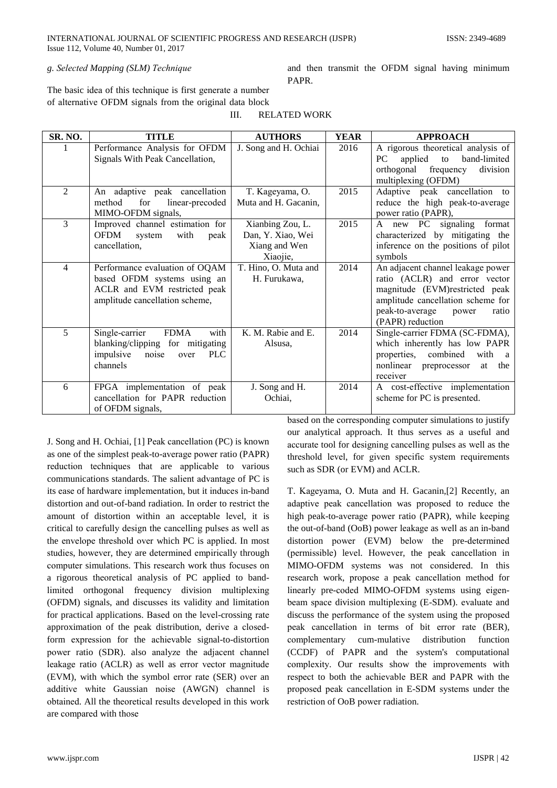III.

# g. Selected Mapping (SLM) Technique

and then transmit the OFDM signal having minimum PAPR.

The basic idea of this technique is first generate a number of alternative OFDM signals from the original data block

| SR. NO.        | <b>TITLE</b>                                                                                                                      | <b>AUTHORS</b>                                                     | <b>YEAR</b> | <b>APPROACH</b>                                                                                                                                                                                    |
|----------------|-----------------------------------------------------------------------------------------------------------------------------------|--------------------------------------------------------------------|-------------|----------------------------------------------------------------------------------------------------------------------------------------------------------------------------------------------------|
|                | Performance Analysis for OFDM<br>Signals With Peak Cancellation,                                                                  | J. Song and H. Ochiai                                              | 2016        | A rigorous theoretical analysis of<br>applied<br>PC<br>to<br>band-limited<br>frequency<br>orthogonal<br>division<br>multiplexing (OFDM)                                                            |
| $\overline{2}$ | An adaptive peak cancellation<br>method<br>for<br>linear-precoded<br>MIMO-OFDM signals,                                           | T. Kageyama, O.<br>Muta and H. Gacanin,                            | 2015        | Adaptive peak cancellation to<br>reduce the high peak-to-average<br>power ratio (PAPR),                                                                                                            |
| 3              | Improved channel estimation for<br>OFDM<br>system<br>with<br>peak<br>cancellation,                                                | Xianbing Zou, L.<br>Dan, Y. Xiao, Wei<br>Xiang and Wen<br>Xiaojie, | 2015        | A new PC signaling format<br>characterized by mitigating the<br>inference on the positions of pilot<br>symbols                                                                                     |
| 4              | Performance evaluation of OQAM<br>based OFDM systems using an<br>ACLR and EVM restricted peak<br>amplitude cancellation scheme,   | T. Hino, O. Muta and<br>H. Furukawa,                               | 2014        | An adjacent channel leakage power<br>ratio (ACLR) and error vector<br>magnitude (EVM)restricted peak<br>amplitude cancellation scheme for<br>peak-to-average<br>power<br>ratio<br>(PAPR) reduction |
| 5              | <b>FDMA</b><br>with<br>Single-carrier<br>blanking/clipping for mitigating<br>impulsive<br>noise<br><b>PLC</b><br>over<br>channels | K. M. Rabie and E.<br>Alsusa.                                      | 2014        | Single-carrier FDMA (SC-FDMA),<br>which inherently has low PAPR<br>properties, combined<br>with<br><sub>a</sub><br>nonlinear<br>the<br>preprocessor<br>at<br>receiver                              |
| 6              | FPGA implementation of peak<br>cancellation for PAPR reduction<br>of OFDM signals,                                                | J. Song and H.<br>Ochiai,                                          | 2014        | A cost-effective implementation<br>scheme for PC is presented.                                                                                                                                     |

**RELATED WORK** 

J. Song and H. Ochiai, [1] Peak cancellation (PC) is known as one of the simplest peak-to-average power ratio (PAPR) reduction techniques that are applicable to various communications standards. The salient advantage of PC is its ease of hardware implementation, but it induces in-band distortion and out-of-band radiation. In order to restrict the amount of distortion within an acceptable level, it is critical to carefully design the cancelling pulses as well as the envelope threshold over which PC is applied. In most studies, however, they are determined empirically through computer simulations. This research work thus focuses on a rigorous theoretical analysis of PC applied to bandlimited orthogonal frequency division multiplexing (OFDM) signals, and discusses its validity and limitation for practical applications. Based on the level-crossing rate approximation of the peak distribution, derive a closedform expression for the achievable signal-to-distortion power ratio (SDR). also analyze the adjacent channel leakage ratio (ACLR) as well as error vector magnitude (EVM), with which the symbol error rate (SER) over an additive white Gaussian noise (AWGN) channel is obtained. All the theoretical results developed in this work are compared with those

based on the corresponding computer simulations to justify our analytical approach. It thus serves as a useful and accurate tool for designing cancelling pulses as well as the threshold level, for given specific system requirements such as SDR (or EVM) and ACLR.

T. Kageyama, O. Muta and H. Gacanin, [2] Recently, an adaptive peak cancellation was proposed to reduce the high peak-to-average power ratio (PAPR), while keeping the out-of-band (OoB) power leakage as well as an in-band distortion power (EVM) below the pre-determined (permissible) level. However, the peak cancellation in MIMO-OFDM systems was not considered. In this research work, propose a peak cancellation method for linearly pre-coded MIMO-OFDM systems using eigenbeam space division multiplexing (E-SDM). evaluate and discuss the performance of the system using the proposed peak cancellation in terms of bit error rate (BER), complementary cum-mulative distribution function (CCDF) of PAPR and the system's computational complexity. Our results show the improvements with respect to both the achievable BER and PAPR with the proposed peak cancellation in E-SDM systems under the restriction of OoB power radiation.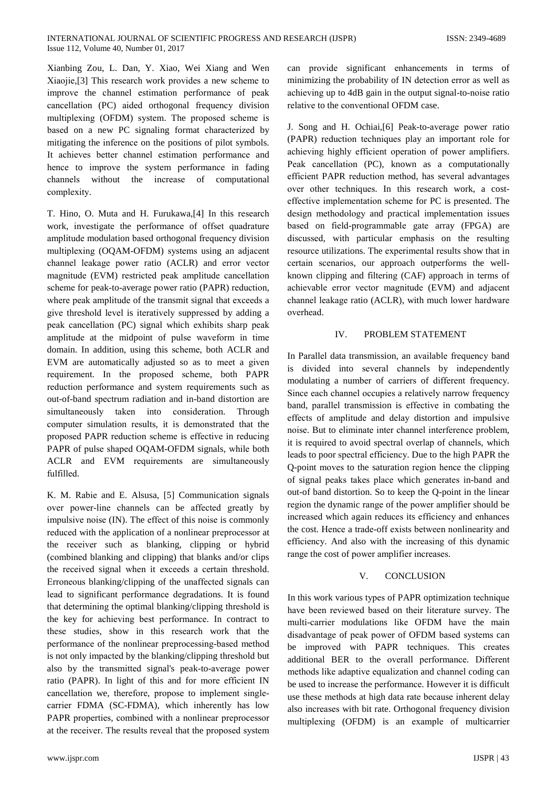#### INTERNATIONAL JOURNAL OF SCIENTIFIC PROGRESS AND RESEARCH (IJSPR) Issue 112, Volume 40, Number 01, 2017

Xianbing Zou, L. Dan, Y. Xiao, Wei Xiang and Wen Xiaojie, [3] This research work provides a new scheme to improve the channel estimation performance of peak cancellation (PC) aided orthogonal frequency division multiplexing (OFDM) system. The proposed scheme is based on a new PC signaling format characterized by mitigating the inference on the positions of pilot symbols. It achieves better channel estimation performance and hence to improve the system performance in fading channels without the increase of computational complexity.

T. Hino, O. Muta and H. Furukawa,[4] In this research work, investigate the performance of offset quadrature amplitude modulation based orthogonal frequency division multiplexing (OQAM-OFDM) systems using an adjacent channel leakage power ratio (ACLR) and error vector magnitude (EVM) restricted peak amplitude cancellation scheme for peak-to-average power ratio (PAPR) reduction, where peak amplitude of the transmit signal that exceeds a give threshold level is iteratively suppressed by adding a peak cancellation (PC) signal which exhibits sharp peak amplitude at the midpoint of pulse waveform in time domain. In addition, using this scheme, both ACLR and EVM are automatically adjusted so as to meet a given requirement. In the proposed scheme, both PAPR reduction performance and system requirements such as out-of-band spectrum radiation and in-band distortion are simultaneously taken into consideration. Through computer simulation results, it is demonstrated that the proposed PAPR reduction scheme is effective in reducing PAPR of pulse shaped OQAM-OFDM signals, while both ACLR and EVM requirements are simultaneously fulfilled.

K. M. Rabie and E. Alsusa, [5] Communication signals over power-line channels can be affected greatly by impulsive noise (IN). The effect of this noise is commonly reduced with the application of a nonlinear preprocessor at the receiver such as blanking, clipping or hybrid (combined blanking and clipping) that blanks and/or clips the received signal when it exceeds a certain threshold. Erroneous blanking/clipping of the unaffected signals can lead to significant performance degradations. It is found that determining the optimal blanking/clipping threshold is the key for achieving best performance. In contract to these studies, show in this research work that the performance of the nonlinear preprocessing-based method is not only impacted by the blanking/clipping threshold but also by the transmitted signal's peak-to-average power ratio (PAPR). In light of this and for more efficient IN cancellation we, therefore, propose to implement singlecarrier FDMA (SC-FDMA), which inherently has low PAPR properties, combined with a nonlinear preprocessor at the receiver. The results reveal that the proposed system

can provide significant enhancements in terms of minimizing the probability of IN detection error as well as achieving up to 4dB gain in the output signal-to-noise ratio relative to the conventional OFDM case.

J. Song and H. Ochiai, [6] Peak-to-average power ratio (PAPR) reduction techniques play an important role for achieving highly efficient operation of power amplifiers. Peak cancellation (PC), known as a computationally efficient PAPR reduction method, has several advantages over other techniques. In this research work, a costeffective implementation scheme for PC is presented. The design methodology and practical implementation issues based on field-programmable gate array (FPGA) are discussed, with particular emphasis on the resulting resource utilizations. The experimental results show that in certain scenarios, our approach outperforms the wellknown clipping and filtering (CAF) approach in terms of achievable error vector magnitude (EVM) and adjacent channel leakage ratio (ACLR), with much lower hardware overhead.

#### $\mathbf{I} \mathbf{V}$ PROBLEM STATEMENT

In Parallel data transmission, an available frequency band is divided into several channels by independently modulating a number of carriers of different frequency. Since each channel occupies a relatively narrow frequency band, parallel transmission is effective in combating the effects of amplitude and delay distortion and impulsive noise. But to eliminate inter channel interference problem, it is required to avoid spectral overlap of channels, which leads to poor spectral efficiency. Due to the high PAPR the O-point moves to the saturation region hence the clipping of signal peaks takes place which generates in-band and out-of band distortion. So to keep the Q-point in the linear region the dynamic range of the power amplifier should be increased which again reduces its efficiency and enhances the cost. Hence a trade-off exists between nonlinearity and efficiency. And also with the increasing of this dynamic range the cost of power amplifier increases.

#### **CONCLUSION**  $V_{\perp}$

In this work various types of PAPR optimization technique have been reviewed based on their literature survey. The multi-carrier modulations like OFDM have the main disadvantage of peak power of OFDM based systems can be improved with PAPR techniques. This creates additional BER to the overall performance. Different methods like adaptive equalization and channel coding can be used to increase the performance. However it is difficult use these methods at high data rate because inherent delay also increases with bit rate. Orthogonal frequency division multiplexing (OFDM) is an example of multicarrier